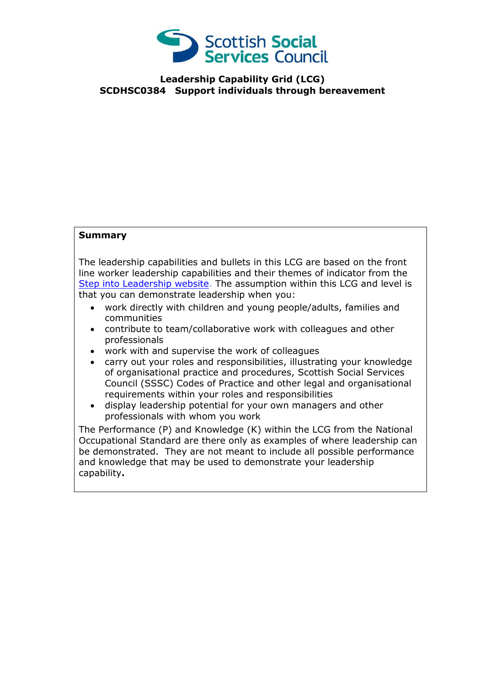

**Leadership Capability Grid (LCG) SCDHSC0384 Support individuals through bereavement**

## **Summary**

The leadership capabilities and bullets in this LCG are based on the front line worker leadership capabilities and their themes of indicator from the [Step into Leadership website.](http://www.stepintoleadership.info/) The assumption within this LCG and level is that you can demonstrate leadership when you:

- work directly with children and young people/adults, families and communities
- contribute to team/collaborative work with colleagues and other professionals
- work with and supervise the work of colleagues
- carry out your roles and responsibilities, illustrating your knowledge of organisational practice and procedures, Scottish Social Services Council (SSSC) Codes of Practice and other legal and organisational requirements within your roles and responsibilities
- display leadership potential for your own managers and other professionals with whom you work

The Performance (P) and Knowledge (K) within the LCG from the National Occupational Standard are there only as examples of where leadership can be demonstrated. They are not meant to include all possible performance and knowledge that may be used to demonstrate your leadership capability**.**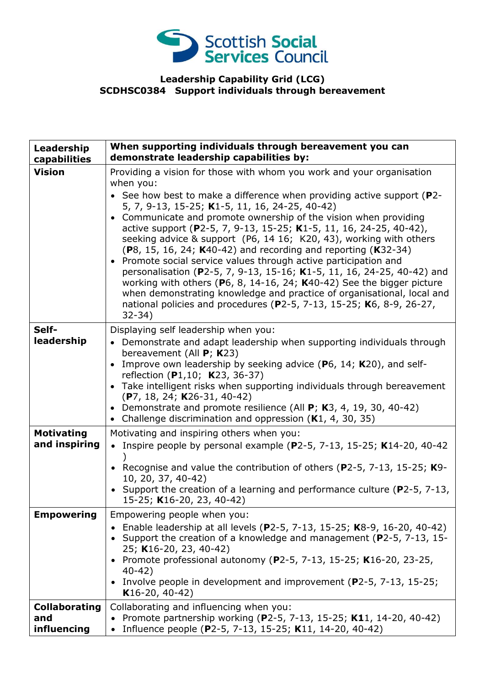

## **Leadership Capability Grid (LCG) SCDHSC0384 Support individuals through bereavement**

| Leadership<br>capabilities                 | When supporting individuals through bereavement you can<br>demonstrate leadership capabilities by:                                                                                                                                                                                                                                                                                                                                                                                                                                                                                                                                                                                                                                                                                                                                                                                                         |
|--------------------------------------------|------------------------------------------------------------------------------------------------------------------------------------------------------------------------------------------------------------------------------------------------------------------------------------------------------------------------------------------------------------------------------------------------------------------------------------------------------------------------------------------------------------------------------------------------------------------------------------------------------------------------------------------------------------------------------------------------------------------------------------------------------------------------------------------------------------------------------------------------------------------------------------------------------------|
| <b>Vision</b>                              | Providing a vision for those with whom you work and your organisation<br>when you:<br>• See how best to make a difference when providing active support ( $P2$ -<br>5, 7, 9-13, 15-25; K1-5, 11, 16, 24-25, 40-42)<br>Communicate and promote ownership of the vision when providing<br>$\bullet$<br>active support (P2-5, 7, 9-13, 15-25; K1-5, 11, 16, 24-25, 40-42),<br>seeking advice & support (P6, 14 16; K20, 43), working with others<br>(P8, 15, 16, 24; K40-42) and recording and reporting (K32-34)<br>• Promote social service values through active participation and<br>personalisation (P2-5, 7, 9-13, 15-16; K1-5, 11, 16, 24-25, 40-42) and<br>working with others ( $P_6$ , 8, 14-16, 24; K40-42) See the bigger picture<br>when demonstrating knowledge and practice of organisational, local and<br>national policies and procedures (P2-5, 7-13, 15-25; K6, 8-9, 26-27,<br>$32 - 34)$ |
| Self-<br>leadership                        | Displaying self leadership when you:<br>• Demonstrate and adapt leadership when supporting individuals through<br>bereavement (All $P$ ; K23)<br>Improve own leadership by seeking advice (P6, 14; K20), and self-<br>reflection (P1,10; K23, 36-37)<br>• Take intelligent risks when supporting individuals through bereavement<br>$(P7, 18, 24; K26-31, 40-42)$<br>• Demonstrate and promote resilience (All $P$ ; K3, 4, 19, 30, 40-42)<br>Challenge discrimination and oppression (K1, 4, 30, 35)<br>$\bullet$                                                                                                                                                                                                                                                                                                                                                                                         |
| <b>Motivating</b><br>and inspiring         | Motivating and inspiring others when you:<br>• Inspire people by personal example (P2-5, 7-13, 15-25; K14-20, 40-42<br>• Recognise and value the contribution of others (P2-5, 7-13, 15-25; K9-<br>10, 20, 37, 40-42)<br>• Support the creation of a learning and performance culture (P2-5, 7-13,<br>15-25; K16-20, 23, 40-42)                                                                                                                                                                                                                                                                                                                                                                                                                                                                                                                                                                            |
| <b>Empowering</b>                          | Empowering people when you:<br>• Enable leadership at all levels (P2-5, 7-13, 15-25; K8-9, 16-20, 40-42)<br>• Support the creation of a knowledge and management (P2-5, 7-13, 15-<br>25; K16-20, 23, 40-42)<br>Promote professional autonomy (P2-5, 7-13, 15-25; K16-20, 23-25,<br>$40 - 42$<br>• Involve people in development and improvement (P2-5, 7-13, 15-25;<br>$K16-20, 40-42)$                                                                                                                                                                                                                                                                                                                                                                                                                                                                                                                    |
| <b>Collaborating</b><br>and<br>influencing | Collaborating and influencing when you:<br>• Promote partnership working (P2-5, 7-13, 15-25; K11, 14-20, 40-42)<br>• Influence people (P2-5, 7-13, 15-25; K11, 14-20, 40-42)                                                                                                                                                                                                                                                                                                                                                                                                                                                                                                                                                                                                                                                                                                                               |